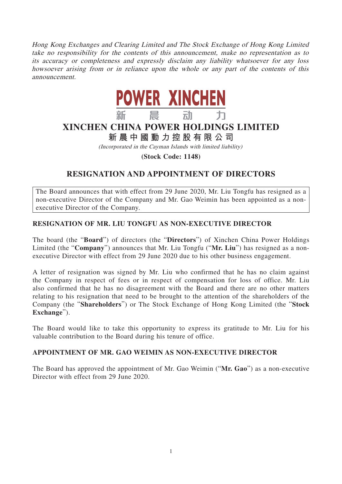Hong Kong Exchanges and Clearing Limited and The Stock Exchange of Hong Kong Limited take no responsibility for the contents of this announcement, make no representation as to its accuracy or completeness and expressly disclaim any liability whatsoever for any loss howsoever arising from or in reliance upon the whole or any part of the contents of this announcement.



# **XINCHEN CHINA POWER HOLDINGS LIMITED**

**新晨中國動力控股有限公司**

(Incorporated in the Cayman Islands with limited liability)

**(Stock Code: 1148)**

## **RESIGNATION AND APPOINTMENT OF DIRECTORS**

The Board announces that with effect from 29 June 2020, Mr. Liu Tongfu has resigned as a non-executive Director of the Company and Mr. Gao Weimin has been appointed as a nonexecutive Director of the Company.

### **RESIGNATION OF MR. LIU TONGFU AS NON-EXECUTIVE DIRECTOR**

The board (the "**Board**") of directors (the "**Directors**") of Xinchen China Power Holdings Limited (the "**Company**") announces that Mr. Liu Tongfu ("**Mr. Liu**") has resigned as a nonexecutive Director with effect from 29 June 2020 due to his other business engagement.

A letter of resignation was signed by Mr. Liu who confirmed that he has no claim against the Company in respect of fees or in respect of compensation for loss of office. Mr. Liu also confirmed that he has no disagreement with the Board and there are no other matters relating to his resignation that need to be brought to the attention of the shareholders of the Company (the "**Shareholders**") or The Stock Exchange of Hong Kong Limited (the "**Stock Exchange**").

The Board would like to take this opportunity to express its gratitude to Mr. Liu for his valuable contribution to the Board during his tenure of office.

### **APPOINTMENT OF MR. GAO WEIMIN AS NON-EXECUTIVE DIRECTOR**

The Board has approved the appointment of Mr. Gao Weimin ("**Mr. Gao**") as a non-executive Director with effect from 29 June 2020.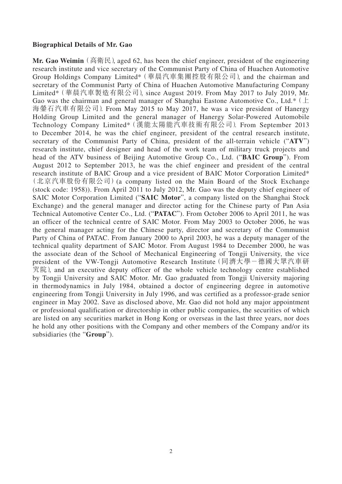#### **Biographical Details of Mr. Gao**

**Mr. Gao Weimin** (高衛民), aged 62, has been the chief engineer, president of the engineering research institute and vice secretary of the Communist Party of China of Huachen Automotive Group Holdings Company Limited\*(華晨汽車集團控股有限公司), and the chairman and secretary of the Communist Party of China of Huachen Automotive Manufacturing Company Limited\*(華晨汽車製造有限公司), since August 2019. From May 2017 to July 2019, Mr. Gao was the chairman and general manager of Shanghai Eastone Automotive Co., Ltd.\* ( $\pm$ ) 海鎣石汽車有限公司). From May 2015 to May 2017, he was a vice president of Hanergy Holding Group Limited and the general manager of Hanergy Solar-Powered Automobile Technology Company Limited\*(漢能太陽能汽車技術有限公司). From September 2013 to December 2014, he was the chief engineer, president of the central research institute, secretary of the Communist Party of China, president of the all-terrain vehicle ("**ATV**") research institute, chief designer and head of the work team of military truck projects and head of the ATV business of Beijing Automotive Group Co., Ltd. ("**BAIC Group**"). From August 2012 to September 2013, he was the chief engineer and president of the central research institute of BAIC Group and a vice president of BAIC Motor Corporation Limited\* (北京汽車股份有限公司)(a company listed on the Main Board of the Stock Exchange (stock code: 1958)). From April 2011 to July 2012, Mr. Gao was the deputy chief engineer of SAIC Motor Corporation Limited ("**SAIC Motor**", a company listed on the Shanghai Stock Exchange) and the general manager and director acting for the Chinese party of Pan Asia Technical Automotive Center Co., Ltd. ("**PATAC**"). From October 2006 to April 2011, he was an officer of the technical centre of SAIC Motor. From May 2003 to October 2006, he was the general manager acting for the Chinese party, director and secretary of the Communist Party of China of PATAC. From January 2000 to April 2003, he was a deputy manager of the technical quality department of SAIC Motor. From August 1984 to December 2000, he was the associate dean of the School of Mechanical Engineering of Tongji University, the vice president of the VW-Tongji Automotive Research Institute(同濟大學-德國大眾汽車研 究院), and an executive deputy officer of the whole vehicle technology centre established by Tongji University and SAIC Motor. Mr. Gao graduated from Tongji University majoring in thermodynamics in July 1984, obtained a doctor of engineering degree in automotive engineering from Tongji University in July 1996, and was certified as a professor-grade senior engineer in May 2002. Save as disclosed above, Mr. Gao did not hold any major appointment or professional qualification or directorship in other public companies, the securities of which are listed on any securities market in Hong Kong or overseas in the last three years, nor does he hold any other positions with the Company and other members of the Company and/or its subsidiaries (the "**Group**").